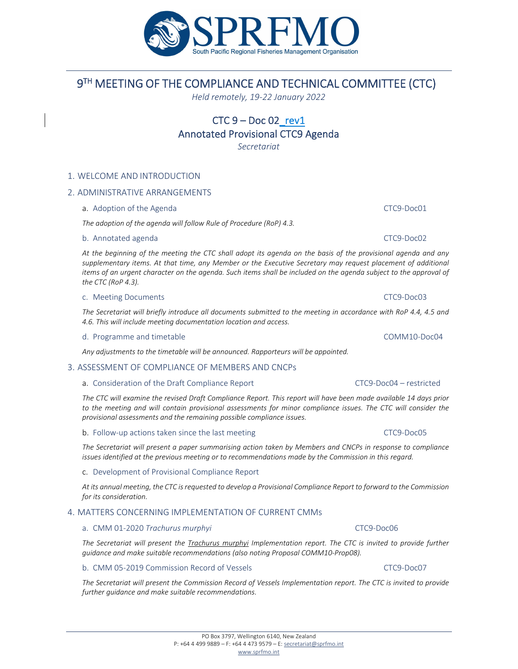# 9 TH MEETING OF THE COMPLIANCE AND TECHNICAL COMMITTEE (CTC)

# $CTC 9 - Doc 02$  rev1

Annotated Provisional CTC9 Agenda

*Secretariat*

# 1. WELCOME AND INTRODUCTION

### 2. ADMINISTRATIVE ARRANGEMENTS

a. Adoption of the Agenda CTC9‐Doc01

*The adoption of the agenda will follow Rule of Procedure (RoP) 4.3.*

#### b. Annotated agenda CTC9‐Doc02

At the beginning of the meeting the CTC shall adopt its agenda on the basis of the provisional agenda and any *supplementary items. At that time, any Member or the Executive Secretary may request placement of additional* items of an urgent character on the agenda. Such items shall be included on the agenda subject to the approval of *the CTC (RoP 4.3).*

### c. Meeting Documents CTC9‐Doc03

The Secretariat will briefly introduce all documents submitted to the meeting in accordance with RoP 4.4, 4.5 and *4.6. This will include meeting documentation location and access.*

#### d. Programme and timetable COMM10‐Doc04

*Any adjustments to the timetable will be announced. Rapporteurs will be appointed.*

# 3. ASSESSMENT OF COMPLIANCE OF MEMBERS AND CNCPs

### a. Consideration of the Draft Compliance Report CTC9‐Doc04 – restricted

The CTC will examine the revised Draft Compliance Report. This report will have been made available 14 days prior to the meeting and will contain provisional assessments for minor compliance issues. The CTC will consider the *provisional assessments and the remaining possible compliance issues.*

b. Follow-up actions taken since the last meeting CTC9-Doc05 CTC9-Doc05

The Secretariat will present a paper summarising action taken by Members and CNCPs in response to compliance *issues identified at the previous meeting or to recommendations made by the Commission in this regard.*

#### c. Development of Provisional Compliance Report

At its annual meeting, the CTC is requested to develop a Provisional Compliance Report to forward to the Commission *for its consideration.*

# 4. MATTERS CONCERNING IMPLEMENTATION OF CURRENT CMMs

#### a. CMM 01‐2020 *Trachurus murphyi* CTC9‐Doc06

*The Secretariat will present the Trachurus murphyi Implementation report. The CTC is invited to provide further guidance and make suitable recommendations (also noting Proposal COMM10‐Prop08).*

#### b. CMM 05-2019 Commission Record of Vessels CTC9-Doc07 CTC9-Doc07

The Secretariat will present the Commission Record of Vessels Implementation report. The CTC is invited to provide *further guidance and make suitable recommendations.*

#### PO Box 3797, Wellington 6140, New Zealand P: +64 4 499 9889 – F: +64 4 473 9579 – E: secretariat@sprfmo.int www.sprfmo.int

# *Held remotely, 19‐22 January 2022*

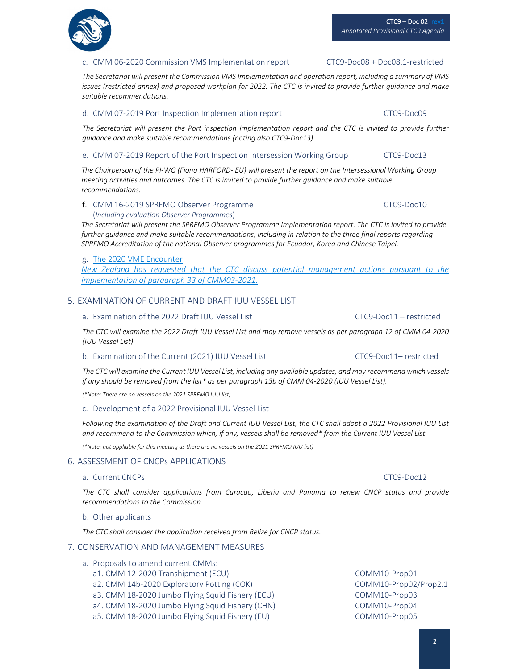# $CTC9 - Doc 02$ <sub>rev1</sub> *Annotated Provisional CTC9 Agenda*

# c. CMM 06‐2020 Commission VMS Implementation report CTC9‐Doc08 + Doc08.1‐restricted

*The Secretariat will present the Commission VMS Implementation and operation report, including a summary of VMS* issues (restricted annex) and proposed workplan for 2022. The CTC is invited to provide further guidance and make *suitable recommendations.*

### d. CMM 07‐2019 Port Inspection Implementation report CTC9‐Doc09

The Secretariat will present the Port inspection Implementation report and the CTC is invited to provide further *guidance and make suitable recommendations (noting also CTC9‐Doc13)*

# e. CMM 07‐2019 Report of the Port Inspection Intersession Working Group CTC9‐Doc13

The Chairperson of the PI-WG (Fiona HARFORD- EU) will present the report on the Intersessional Working Group *meeting activities and outcomes. The CTC is invited to provide further guidance and make suitable recommendations.*

#### f. CMM 16‐2019 SPRFMO Observer Programme CTC9‐Doc10 (*Including evaluation Observer Programmes*)

*The Secretariat will present the SPRFMO Observer Programme Implementation report. The CTC is invited to provide further guidance and make suitable recommendations, including in relation to the three final reports regarding SPRFMO Accreditation of the national Observer programmes for Ecuador, Korea and Chinese Taipei.*

### g. The 2020 VME Encounter

*New Zealand has requested that the CTC discuss potential management actions pursuant to the implementation of paragraph 33 of CMM03‐2021*.

# 5. EXAMINATION OF CURRENT AND DRAFT IUU VESSEL LIST

a. Examination of the 2022 Draft IUU Vessel List CTC9‐Doc11 – restricted

The CTC will examine the 2022 Draft IUU Vessel List and may remove vessels as per paragraph 12 of CMM 04-2020 *(IUU Vessel List).*

#### b. Examination of the Current (2021) IUU Vessel List CTC9‐Doc11– restricted

The CTC will examine the Current IUU Vessel List, including any available updates, and may recommend which vessels if any should be removed from the list\* as per paragraph 13b of CMM 04-2020 (IUU Vessel List).

*(\*Note: There are no vessels on the 2021 SPRFMO IUU list)*

# c. Development of a 2022 Provisional IUU Vessel List

Following the examination of the Draft and Current IUU Vessel List, the CTC shall adopt a 2022 Provisional IUU List and recommend to the Commission which, if any, vessels shall be removed\* from the Current IUU Vessel List.

*(\*Note: not appliable for this meeting as there are no vessels on the 2021 SPRFMO IUU list)*

# 6. ASSESSMENT OF CNCPs APPLICATIONS

#### a. Current CNCPs CTC9‐Doc12

*The CTC shall consider applications from Curacao, Liberia and Panama to renew CNCP status and provide recommendations to the Commission.*

#### b. Other applicants

*The CTC shall consider the application received from Belize for CNCP status.*

# 7. CONSERVATION AND MANAGEMENT MEASURES

- a. Proposals to amend current CMMs:
	- a1. CMM 12‐2020 Transhipment (ECU) COMM10‐Prop01
	- a2. CMM 14b‐2020 Exploratory Potting (COK) COMM10‐Prop02/Prop2.1
	- a3. CMM 18‐2020 Jumbo Flying Squid Fishery (ECU) COMM10‐Prop03
	- a4. CMM 18‐2020 Jumbo Flying Squid Fishery (CHN) COMM10‐Prop04
	- a5. CMM 18‐2020 Jumbo Flying Squid Fishery (EU) COMM10‐Prop05
-